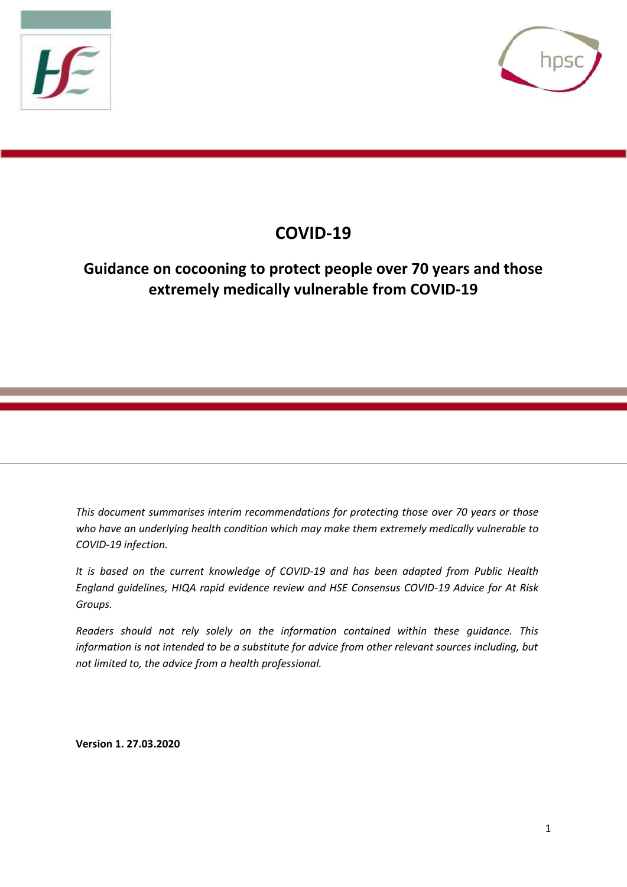



# **COVID-19**

## **Guidance on cocooning to protect people over 70 years and those extremely medically vulnerable from COVID-19**

*This document summarises interim recommendations for protecting those over 70 years or those who have an underlying health condition which may make them extremely medically vulnerable to COVID-19 infection.*

*It is based on the current knowledge of COVID-19 and has been adapted from Public Health England guidelines, HIQA rapid evidence review and HSE Consensus COVID-19 Advice for At Risk Groups.*

*Readers should not rely solely on the information contained within these guidance. This information is not intended to be a substitute for advice from other relevant sources including, but not limited to, the advice from a health professional.*

**Version 1. 27.03.2020**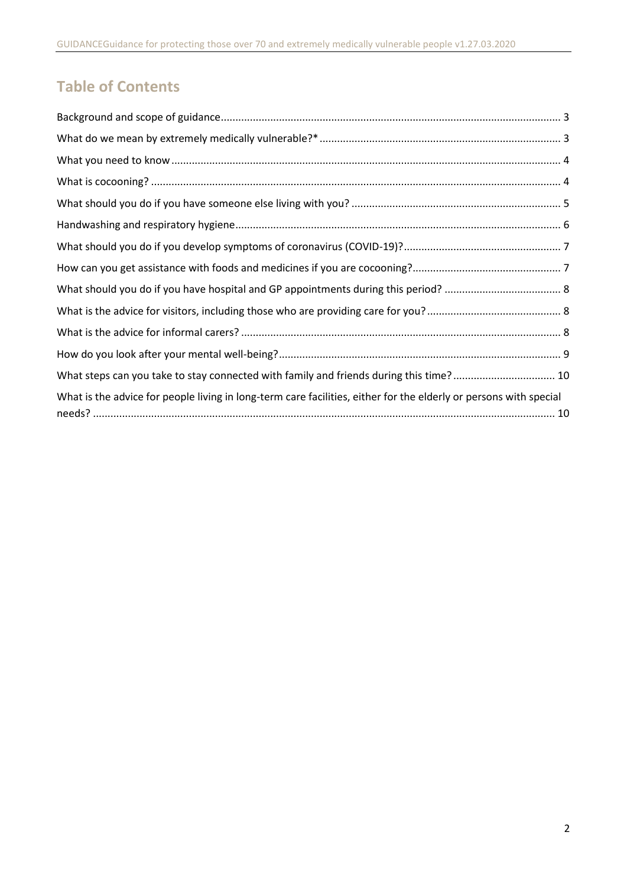# **Table of Contents**

| What steps can you take to stay connected with family and friends during this time? 10                            |  |
|-------------------------------------------------------------------------------------------------------------------|--|
| What is the advice for people living in long-term care facilities, either for the elderly or persons with special |  |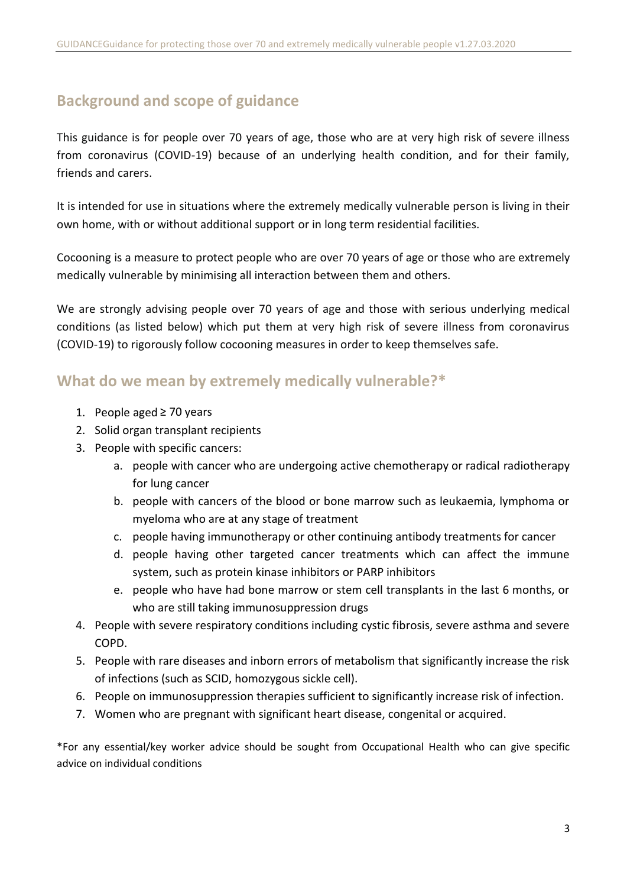## <span id="page-2-0"></span>**Background and scope of guidance**

This guidance is for people over 70 years of age, those who are at very high risk of severe illness from coronavirus (COVID-19) because of an underlying health condition, and for their family, friends and carers.

It is intended for use in situations where the extremely medically vulnerable person is living in their own home, with or without additional support or in long term residential facilities.

Cocooning is a measure to protect people who are over 70 years of age or those who are extremely medically vulnerable by minimising all interaction between them and others.

We are strongly advising people over 70 years of age and those with serious underlying medical conditions (as listed below) which put them at very high risk of severe illness from coronavirus (COVID-19) to rigorously follow cocooning measures in order to keep themselves safe.

#### <span id="page-2-1"></span>**What do we mean by extremely medically vulnerable?\***

- 1. People aged ≥ 70 years
- 2. Solid organ transplant recipients
- 3. People with specific cancers:
	- a. people with cancer who are undergoing active chemotherapy or radical radiotherapy for lung cancer
	- b. people with cancers of the blood or bone marrow such as leukaemia, lymphoma or myeloma who are at any stage of treatment
	- c. people having immunotherapy or other continuing antibody treatments for cancer
	- d. people having other targeted cancer treatments which can affect the immune system, such as protein kinase inhibitors or PARP inhibitors
	- e. people who have had bone marrow or stem cell transplants in the last 6 months, or who are still taking immunosuppression drugs
- 4. People with severe respiratory conditions including cystic fibrosis, severe asthma and severe COPD.
- 5. People with rare diseases and inborn errors of metabolism that significantly increase the risk of infections (such as SCID, homozygous sickle cell).
- 6. People on immunosuppression therapies sufficient to significantly increase risk of infection.
- 7. Women who are pregnant with significant heart disease, congenital or acquired.

\*For any essential/key worker advice should be sought from Occupational Health who can give specific advice on individual conditions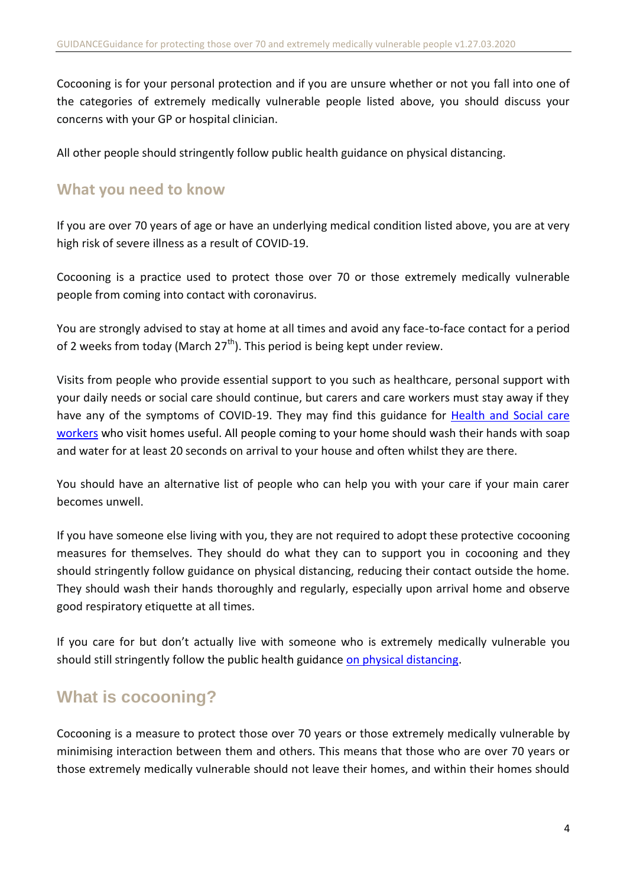Cocooning is for your personal protection and if you are unsure whether or not you fall into one of the categories of extremely medically vulnerable people listed above, you should discuss your concerns with your GP or hospital clinician.

All other people should stringently follow public health guidance on physical distancing.

#### <span id="page-3-0"></span>**What you need to know**

If you are over 70 years of age or have an underlying medical condition listed above, you are at very high risk of severe illness as a result of COVID-19.

Cocooning is a practice used to protect those over 70 or those extremely medically vulnerable people from coming into contact with coronavirus.

You are strongly advised to stay at home at all times and avoid any face-to-face contact for a period of 2 weeks from today (March  $27<sup>th</sup>$ ). This period is being kept under review.

Visits from people who provide essential support to you such as healthcare, personal support with your daily needs or social care should continue, but carers and care workers must stay away if they have any of the symptoms of COVID-19. They may find this guidance for [Health and Social care](https://www.hpsc.ie/a-z/respiratory/coronavirus/novelcoronavirus/guidance/infectionpreventionandcontrolguidance/V1.0-Guidance-HealthSocialCareWorkersWhoVisitHomes.pdf) [workers](https://www.hpsc.ie/a-z/respiratory/coronavirus/novelcoronavirus/guidance/infectionpreventionandcontrolguidance/V1.0-Guidance-HealthSocialCareWorkersWhoVisitHomes.pdf) who visit homes useful. All people coming to your home should wash their hands with soap and water for at least 20 seconds on arrival to your house and often whilst they are there.

You should have an alternative list of people who can help you with your care if your main carer becomes unwell.

If you have someone else living with you, they are not required to adopt these protective cocooning measures for themselves. They should do what they can to support you in cocooning and they should stringently follow guidance on physical distancing, reducing their contact outside the home. They should wash their hands thoroughly and regularly, especially upon arrival home and observe good respiratory etiquette at all times.

If you care for but don't actually live with someone who is extremely medically vulnerable you should still stringently follow the public health guidance on p[hysical distancing.](https://www2.hse.ie/conditions/coronavirus/protect-yourself.html)

## <span id="page-3-1"></span>**What is cocooning?**

Cocooning is a measure to protect those over 70 years or those extremely medically vulnerable by minimising interaction between them and others. This means that those who are over 70 years or those extremely medically vulnerable should not leave their homes, and within their homes should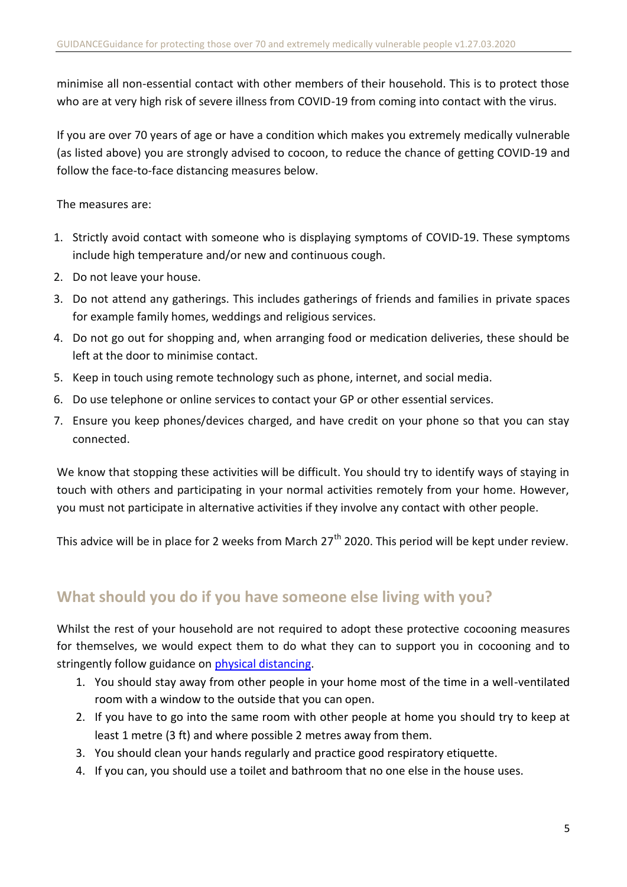minimise all non-essential contact with other members of their household. This is to protect those who are at very high risk of severe illness from COVID-19 from coming into contact with the virus.

If you are over 70 years of age or have a condition which makes you extremely medically vulnerable (as listed above) you are strongly advised to cocoon, to reduce the chance of getting COVID-19 and follow the face-to-face distancing measures below.

The measures are:

- 1. Strictly avoid contact with someone who is displaying symptoms of COVID-19. These symptoms include high temperature and/or new and continuous cough.
- 2. Do not leave your house.
- 3. Do not attend any gatherings. This includes gatherings of friends and families in private spaces for example family homes, weddings and religious services.
- 4. Do not go out for shopping and, when arranging food or medication deliveries, these should be left at the door to minimise contact.
- 5. Keep in touch using remote technology such as phone, internet, and social media.
- 6. Do use telephone or online services to contact your GP or other essential services.
- 7. Ensure you keep phones/devices charged, and have credit on your phone so that you can stay connected.

We know that stopping these activities will be difficult. You should try to identify ways of staying in touch with others and participating in your normal activities remotely from your home. However, you must not participate in alternative activities if they involve any contact with other people.

This advice will be in place for 2 weeks from March  $27<sup>th</sup>$  2020. This period will be kept under review.

## <span id="page-4-0"></span>**What should you do if you have someone else living with you?**

Whilst the rest of your household are not required to adopt these protective cocooning measures for themselves, we would expect them to do what they can to support you in cocooning and to stringently follow guidance on p[hysical distancing.](https://www2.hse.ie/conditions/coronavirus/protect-yourself.html)

- 1. You should stay away from other people in your home most of the time in a well-ventilated room with a window to the outside that you can open.
- 2. If you have to go into the same room with other people at home you should try to keep at least 1 metre (3 ft) and where possible 2 metres away from them.
- 3. You should clean your hands regularly and practice good respiratory etiquette.
- 4. If you can, you should use a toilet and bathroom that no one else in the house uses.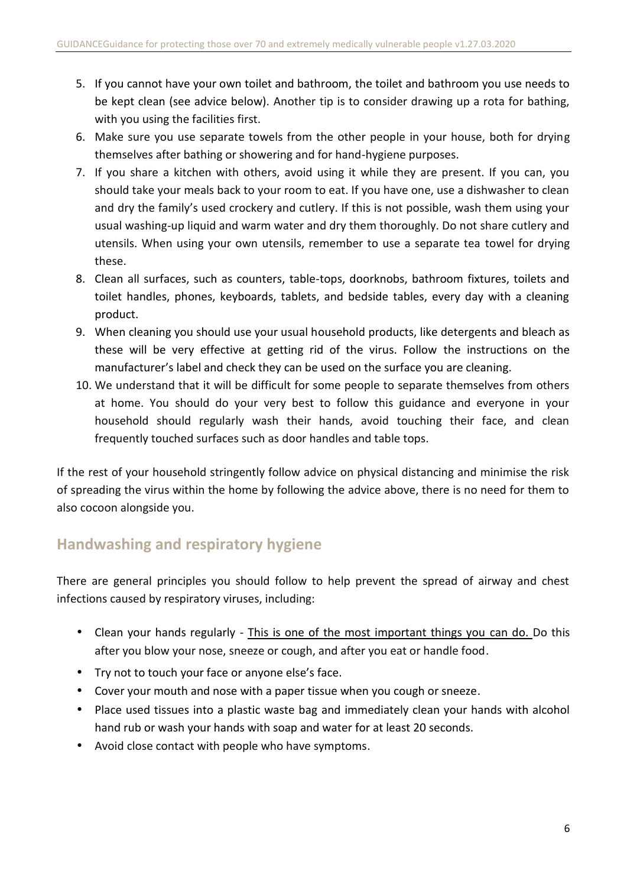- 5. If you cannot have your own toilet and bathroom, the toilet and bathroom you use needs to be kept clean (see advice below). Another tip is to consider drawing up a rota for bathing, with you using the facilities first.
- 6. Make sure you use separate towels from the other people in your house, both for drying themselves after bathing or showering and for hand-hygiene purposes.
- 7. If you share a kitchen with others, avoid using it while they are present. If you can, you should take your meals back to your room to eat. If you have one, use a dishwasher to clean and dry the family's used crockery and cutlery. If this is not possible, wash them using your usual washing-up liquid and warm water and dry them thoroughly. Do not share cutlery and utensils. When using your own utensils, remember to use a separate tea towel for drying these.
- 8. Clean all surfaces, such as counters, table-tops, doorknobs, bathroom fixtures, toilets and toilet handles, phones, keyboards, tablets, and bedside tables, every day with a cleaning product.
- 9. When cleaning you should use your usual household products, like detergents and bleach as these will be very effective at getting rid of the virus. Follow the instructions on the manufacturer's label and check they can be used on the surface you are cleaning.
- 10. We understand that it will be difficult for some people to separate themselves from others at home. You should do your very best to follow this guidance and everyone in your household should regularly wash their hands, avoid touching their face, and clean frequently touched surfaces such as door handles and table tops.

If the rest of your household stringently follow advice on physical distancing and minimise the risk of spreading the virus within the home by following the advice above, there is no need for them to also cocoon alongside you.

## <span id="page-5-0"></span>**Handwashing and respiratory hygiene**

There are general principles you should follow to help prevent the spread of airway and chest infections caused by respiratory viruses, including:

- Clean your hands regularly This is one of the most important things you can do. Do this after you blow your nose, sneeze or cough, and after you eat or handle food.
- Try not to touch your face or anyone else's face.
- Cover your mouth and nose with a paper tissue when you cough or sneeze.
- Place used tissues into a plastic waste bag and immediately clean your hands with alcohol hand rub or wash your hands with soap and water for at least 20 seconds.
- Avoid close contact with people who have symptoms.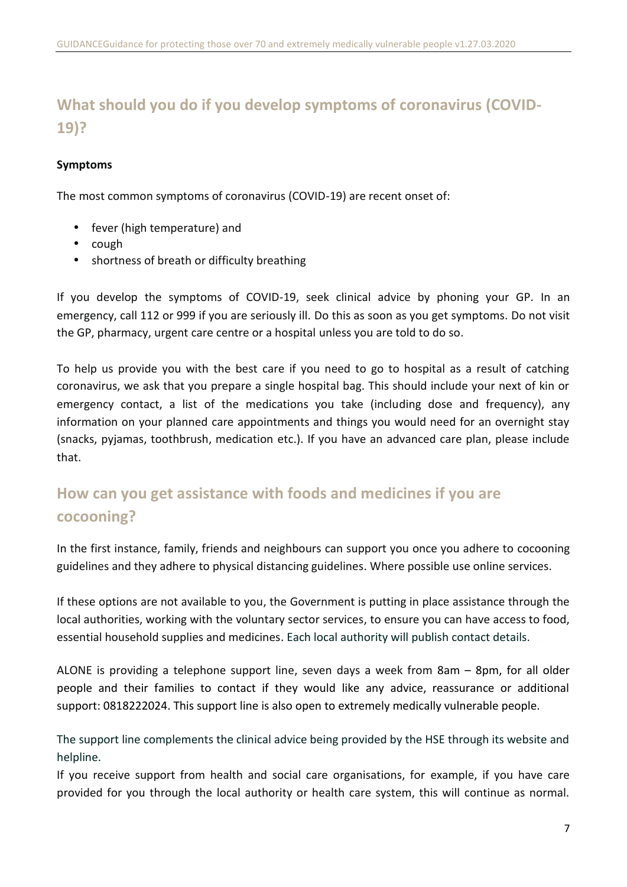# <span id="page-6-0"></span>**What should you do if you develop symptoms of coronavirus (COVID- 19)?**

#### **Symptoms**

The most common symptoms of coronavirus (COVID-19) are recent onset of:

- fever (high temperature) and
- $\bullet$  cough
- shortness of breath or difficulty breathing

If you develop the symptoms of COVID-19, seek clinical advice by phoning your GP. In an emergency, call 112 or 999 if you are seriously ill. Do this as soon as you get symptoms. Do not visit the GP, pharmacy, urgent care centre or a hospital unless you are told to do so.

To help us provide you with the best care if you need to go to hospital as a result of catching coronavirus, we ask that you prepare a single hospital bag. This should include your next of kin or emergency contact, a list of the medications you take (including dose and frequency), any information on your planned care appointments and things you would need for an overnight stay (snacks, pyjamas, toothbrush, medication etc.). If you have an advanced care plan, please include that.

# <span id="page-6-1"></span>**How can you get assistance with foods and medicines if you are cocooning?**

In the first instance, family, friends and neighbours can support you once you adhere to cocooning guidelines and they adhere to physical distancing guidelines. Where possible use online services.

If these options are not available to you, the Government is putting in place assistance through the local authorities, working with the voluntary sector services, to ensure you can have access to food, essential household supplies and medicines. Each local authority will publish contact details.

ALONE is providing a telephone support line, seven days a week from 8am – 8pm, for all older people and their families to contact if they would like any advice, reassurance or additional support: 0818222024. This support line is also open to extremely medically vulnerable people.

The support line complements the clinical advice being provided by the HSE through its website and helpline.

If you receive support from health and social care organisations, for example, if you have care provided for you through the local authority or health care system, this will continue as normal.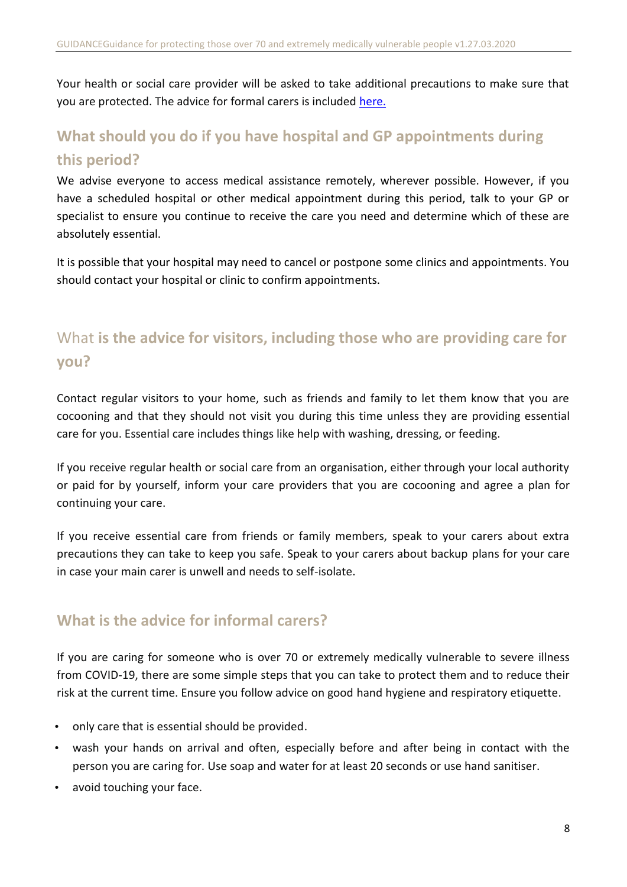Your health or social care provider will be asked to take additional precautions to make sure that you are protected. The advice for formal carers is included h[ere.](https://www.hpsc.ie/a-z/respiratory/coronavirus/novelcoronavirus/guidance/infectionpreventionandcontrolguidance/V1.0-Guidance-HealthSocialCareWorkersWhoVisitHomes.pdf)

# <span id="page-7-0"></span>**What should you do if you have hospital and GP appointments during this period?**

We advise everyone to access medical assistance remotely, wherever possible. However, if you have a scheduled hospital or other medical appointment during this period, talk to your GP or specialist to ensure you continue to receive the care you need and determine which of these are absolutely essential.

It is possible that your hospital may need to cancel or postpone some clinics and appointments. You should contact your hospital or clinic to confirm appointments.

# <span id="page-7-1"></span>What **is the advice for visitors, including those who are providing care for you?**

Contact regular visitors to your home, such as friends and family to let them know that you are cocooning and that they should not visit you during this time unless they are providing essential care for you. Essential care includes things like help with washing, dressing, or feeding.

If you receive regular health or social care from an organisation, either through your local authority or paid for by yourself, inform your care providers that you are cocooning and agree a plan for continuing your care.

If you receive essential care from friends or family members, speak to your carers about extra precautions they can take to keep you safe. Speak to your carers about backup plans for your care in case your main carer is unwell and needs to self-isolate.

### <span id="page-7-2"></span>**What is the advice for informal carers?**

If you are caring for someone who is over 70 or extremely medically vulnerable to severe illness from COVID-19, there are some simple steps that you can take to protect them and to reduce their risk at the current time. Ensure you follow advice on good hand hygiene and respiratory etiquette.

- only care that is essential should be provided.
- wash your hands on arrival and often, especially before and after being in contact with the person you are caring for. Use soap and water for at least 20 seconds or use hand sanitiser.
- avoid touching your face.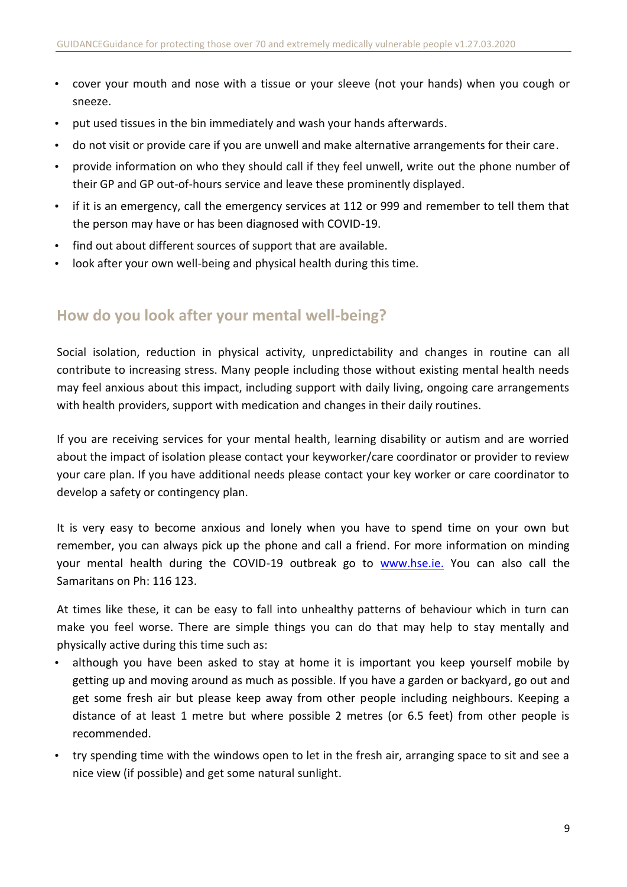- cover your mouth and nose with a tissue or your sleeve (not your hands) when you cough or sneeze.
- put used tissues in the bin immediately and wash your hands afterwards.
- do not visit or provide care if you are unwell and make alternative arrangements for their care.
- provide information on who they should call if they feel unwell, write out the phone number of their GP and GP out-of-hours service and leave these prominently displayed.
- if it is an emergency, call the emergency services at 112 or 999 and remember to tell them that the person may have or has been diagnosed with COVID-19.
- find out about different sources of support that are available.
- look after your own well-being and physical health during this time.

#### <span id="page-8-0"></span>**How do you look after your mental well-being?**

Social isolation, reduction in physical activity, unpredictability and changes in routine can all contribute to increasing stress. Many people including those without existing mental health needs may feel anxious about this impact, including support with daily living, ongoing care arrangements with health providers, support with medication and changes in their daily routines.

If you are receiving services for your mental health, learning disability or autism and are worried about the impact of isolation please contact your keyworker/care coordinator or provider to review your care plan. If you have additional needs please contact your key worker or care coordinator to develop a safety or contingency plan.

It is very easy to become anxious and lonely when you have to spend time on your own but remember, you can always pick up the phone and call a friend. For more information on minding your mental health during the COVID-19 outbreak go to [www.hse.ie.](https://www2.hse.ie/wellbeing/mental-health/minding-your-mental-health-during-the-coronavirus-outbreak.html) You can also call the Samaritans on Ph: 116 123.

At times like these, it can be easy to fall into unhealthy patterns of behaviour which in turn can make you feel worse. There are simple things you can do that may help to stay mentally and physically active during this time such as:

- although you have been asked to stay at home it is important you keep yourself mobile by getting up and moving around as much as possible. If you have a garden or backyard, go out and get some fresh air but please keep away from other people including neighbours. Keeping a distance of at least 1 metre but where possible 2 metres (or 6.5 feet) from other people is recommended.
- try spending time with the windows open to let in the fresh air, arranging space to sit and see a nice view (if possible) and get some natural sunlight.